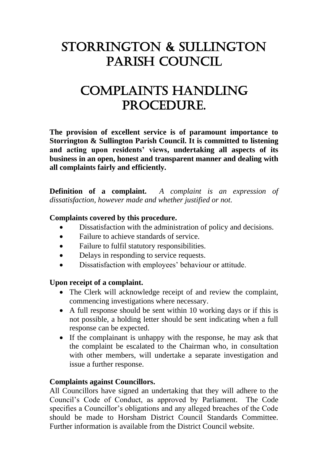# Storrington & Sullington Parish Council

# Complaints Handling PROCEDURE.

**The provision of excellent service is of paramount importance to Storrington & Sullington Parish Council. It is committed to listening and acting upon residents' views, undertaking all aspects of its business in an open, honest and transparent manner and dealing with all complaints fairly and efficiently.**

**Definition of a complaint.** *A complaint is an expression of dissatisfaction, however made and whether justified or not.*

### **Complaints covered by this procedure.**

- Dissatisfaction with the administration of policy and decisions.
- Failure to achieve standards of service.
- Failure to fulfil statutory responsibilities.
- Delays in responding to service requests.
- Dissatisfaction with employees' behaviour or attitude.

#### **Upon receipt of a complaint.**

- The Clerk will acknowledge receipt of and review the complaint, commencing investigations where necessary.
- A full response should be sent within 10 working days or if this is not possible, a holding letter should be sent indicating when a full response can be expected.
- If the complainant is unhappy with the response, he may ask that the complaint be escalated to the Chairman who, in consultation with other members, will undertake a separate investigation and issue a further response.

#### **Complaints against Councillors.**

All Councillors have signed an undertaking that they will adhere to the Council's Code of Conduct, as approved by Parliament. The Code specifies a Councillor's obligations and any alleged breaches of the Code should be made to Horsham District Council Standards Committee. Further information is available from the District Council website.